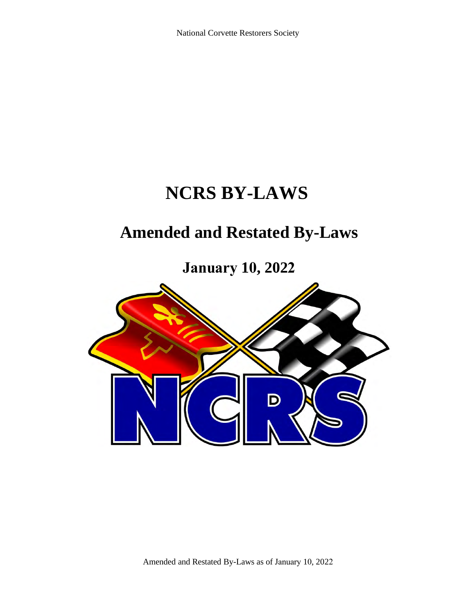# **NCRS BY-LAWS**

# **Amended and Restated By-Laws**

**January 10, 2022**

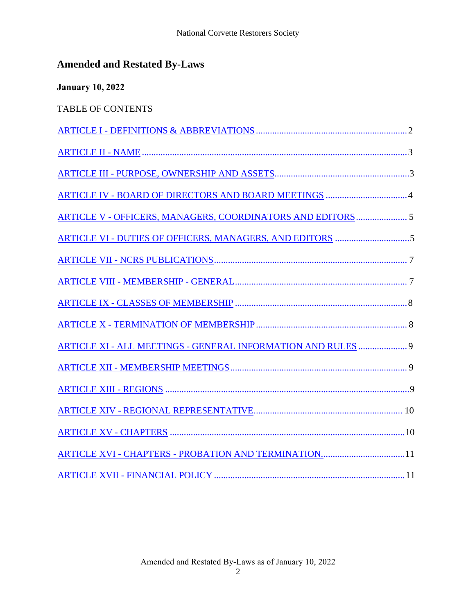| <b>January 10, 2022</b>                                      |  |
|--------------------------------------------------------------|--|
| <b>TABLE OF CONTENTS</b>                                     |  |
|                                                              |  |
|                                                              |  |
|                                                              |  |
|                                                              |  |
| ARTICLE V - OFFICERS, MANAGERS, COORDINATORS AND EDITORS 5   |  |
|                                                              |  |
|                                                              |  |
|                                                              |  |
|                                                              |  |
|                                                              |  |
| ARTICLE XI - ALL MEETINGS - GENERAL INFORMATION AND RULES  9 |  |
|                                                              |  |
|                                                              |  |
|                                                              |  |
|                                                              |  |
| ARTICLE XVI - CHAPTERS - PROBATION AND TERMINATION11         |  |
|                                                              |  |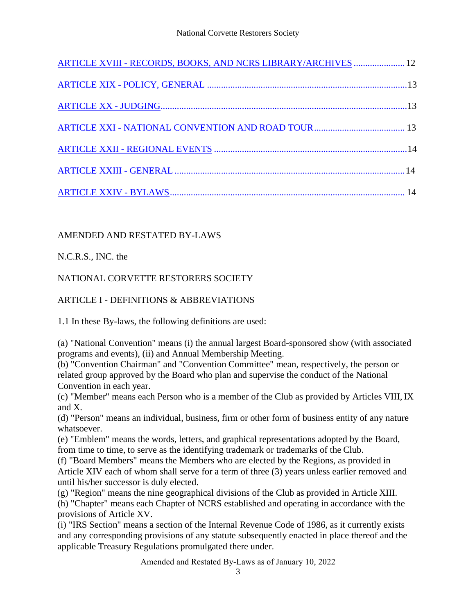| ARTICLE XVIII - RECORDS, BOOKS, AND NCRS LIBRARY/ARCHIVES  12 |  |
|---------------------------------------------------------------|--|
|                                                               |  |
|                                                               |  |
|                                                               |  |
|                                                               |  |
|                                                               |  |
|                                                               |  |

# AMENDED AND RESTATED BY-LAWS

N.C.R.S., INC. the

# <span id="page-2-0"></span>NATIONAL CORVETTE RESTORERS SOCIETY

# ARTICLE I - DEFINITIONS & ABBREVIATIONS

1.1 In these By-laws, the following definitions are used:

(a) "National Convention" means (i) the annual largest Board-sponsored show (with associated programs and events), (ii) and Annual Membership Meeting.

(b) "Convention Chairman" and "Convention Committee" mean, respectively, the person or related group approved by the Board who plan and supervise the conduct of the National Convention in each year.

(c) "Member" means each Person who is a member of the Club as provided by Articles VIII, IX and X.

(d) "Person" means an individual, business, firm or other form of business entity of any nature whatsoever.

(e) "Emblem" means the words, letters, and graphical representations adopted by the Board, from time to time, to serve as the identifying trademark or trademarks of the Club.

(f) "Board Members" means the Members who are elected by the Regions, as provided in Article XIV each of whom shall serve for a term of three (3) years unless earlier removed and until his/her successor is duly elected.

(g) "Region" means the nine geographical divisions of the Club as provided in Article XIII.

(h) "Chapter" means each Chapter of NCRS established and operating in accordance with the provisions of Article XV.

(i) "IRS Section" means a section of the Internal Revenue Code of 1986, as it currently exists and any corresponding provisions of any statute subsequently enacted in place thereof and the applicable Treasury Regulations promulgated there under.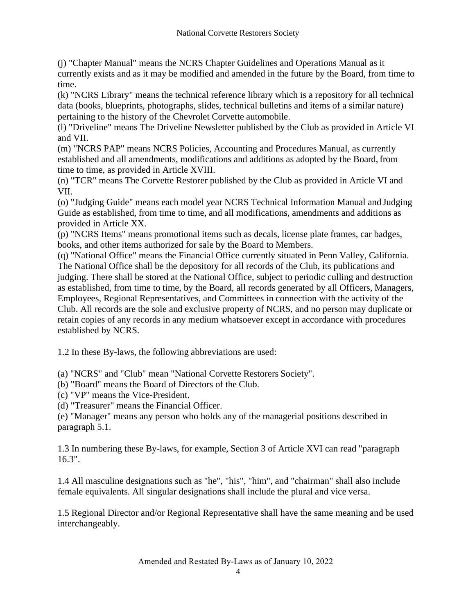(j) "Chapter Manual" means the NCRS Chapter Guidelines and Operations Manual as it currently exists and as it may be modified and amended in the future by the Board, from time to time.

(k) "NCRS Library" means the technical reference library which is a repository for all technical data (books, blueprints, photographs, slides, technical bulletins and items of a similar nature) pertaining to the history of the Chevrolet Corvette automobile.

(l) "Driveline" means The Driveline Newsletter published by the Club as provided in Article VI and VII.

(m) "NCRS PAP" means NCRS Policies, Accounting and Procedures Manual, as currently established and all amendments, modifications and additions as adopted by the Board, from time to time, as provided in Article XVIII.

(n) "TCR" means The Corvette Restorer published by the Club as provided in Article VI and VII.

(o) "Judging Guide" means each model year NCRS Technical Information Manual and Judging Guide as established, from time to time, and all modifications, amendments and additions as provided in Article XX.

(p) "NCRS Items" means promotional items such as decals, license plate frames, car badges, books, and other items authorized for sale by the Board to Members.

(q) "National Office" means the Financial Office currently situated in Penn Valley, California. The National Office shall be the depository for all records of the Club, its publications and judging. There shall be stored at the National Office, subject to periodic culling and destruction as established, from time to time, by the Board, all records generated by all Officers, Managers, Employees, Regional Representatives, and Committees in connection with the activity of the Club. All records are the sole and exclusive property of NCRS, and no person may duplicate or retain copies of any records in any medium whatsoever except in accordance with procedures established by NCRS.

1.2 In these By-laws, the following abbreviations are used:

(a) "NCRS" and "Club" mean "National Corvette Restorers Society".

(b) "Board" means the Board of Directors of the Club.

(c) "VP" means the Vice-President.

(d) "Treasurer" means the Financial Officer.

(e) "Manager" means any person who holds any of the managerial positions described in paragraph 5.1.

1.3 In numbering these By-laws, for example, Section 3 of Article XVI can read "paragraph 16.3".

1.4 All masculine designations such as "he", "his", "him", and "chairman" shall also include female equivalents. All singular designations shall include the plural and vice versa.

1.5 Regional Director and/or Regional Representative shall have the same meaning and be used interchangeably.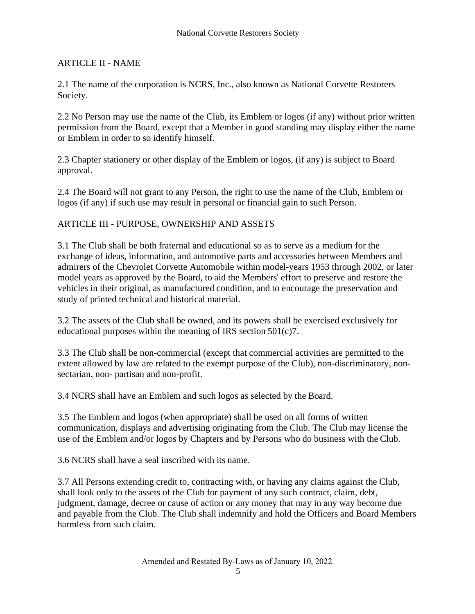# <span id="page-4-0"></span>ARTICLE II - NAME

2.1 The name of the corporation is NCRS, Inc., also known as National Corvette Restorers Society.

2.2 No Person may use the name of the Club, its Emblem or logos (if any) without prior written permission from the Board, except that a Member in good standing may display either the name or Emblem in order to so identify himself.

2.3 Chapter stationery or other display of the Emblem or logos, (if any) is subject to Board approval.

2.4 The Board will not grant to any Person, the right to use the name of the Club, Emblem or logos (if any) if such use may result in personal or financial gain to such Person.

### <span id="page-4-1"></span>ARTICLE III - PURPOSE, OWNERSHIP AND ASSETS

3.1 The Club shall be both fraternal and educational so as to serve as a medium for the exchange of ideas, information, and automotive parts and accessories between Members and admirers of the Chevrolet Corvette Automobile within model-years 1953 through 2002, or later model years as approved by the Board, to aid the Members' effort to preserve and restore the vehicles in their original, as manufactured condition, and to encourage the preservation and study of printed technical and historical material.

3.2 The assets of the Club shall be owned, and its powers shall be exercised exclusively for educational purposes within the meaning of IRS section 501(c)7.

3.3 The Club shall be non-commercial (except that commercial activities are permitted to the extent allowed by law are related to the exempt purpose of the Club), non-discriminatory, nonsectarian, non- partisan and non-profit.

3.4 NCRS shall have an Emblem and such logos as selected by the Board.

3.5 The Emblem and logos (when appropriate) shall be used on all forms of written communication, displays and advertising originating from the Club. The Club may license the use of the Emblem and/or logos by Chapters and by Persons who do business with the Club.

3.6 NCRS shall have a seal inscribed with its name.

3.7 All Persons extending credit to, contracting with, or having any claims against the Club, shall look only to the assets of the Club for payment of any such contract, claim, debt, judgment, damage, decree or cause of action or any money that may in any way become due and payable from the Club. The Club shall indemnify and hold the Officers and Board Members harmless from such claim.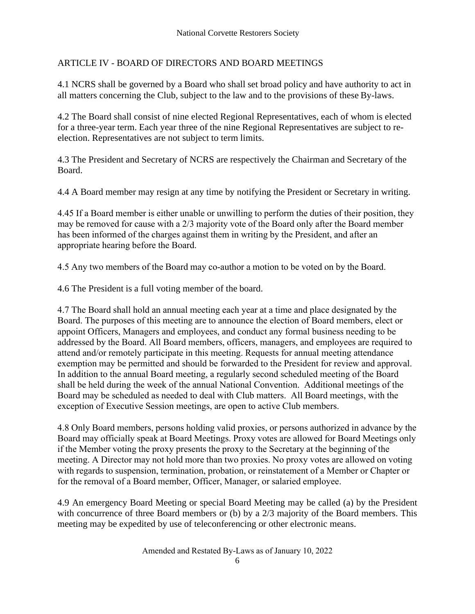# <span id="page-5-0"></span>ARTICLE IV - BOARD OF DIRECTORS AND BOARD MEETINGS

4.1 NCRS shall be governed by a Board who shall set broad policy and have authority to act in all matters concerning the Club, subject to the law and to the provisions of these By-laws.

4.2 The Board shall consist of nine elected Regional Representatives, each of whom is elected for a three-year term. Each year three of the nine Regional Representatives are subject to reelection. Representatives are not subject to term limits.

4.3 The President and Secretary of NCRS are respectively the Chairman and Secretary of the Board.

4.4 A Board member may resign at any time by notifying the President or Secretary in writing.

4.45 If a Board member is either unable or unwilling to perform the duties of their position, they may be removed for cause with a 2/3 majority vote of the Board only after the Board member has been informed of the charges against them in writing by the President, and after an appropriate hearing before the Board.

4.5 Any two members of the Board may co-author a motion to be voted on by the Board.

4.6 The President is a full voting member of the board.

4.7 The Board shall hold an annual meeting each year at a time and place designated by the Board. The purposes of this meeting are to announce the election of Board members, elect or appoint Officers, Managers and employees, and conduct any formal business needing to be addressed by the Board. All Board members, officers, managers, and employees are required to attend and/or remotely participate in this meeting. Requests for annual meeting attendance exemption may be permitted and should be forwarded to the President for review and approval. In addition to the annual Board meeting, a regularly second scheduled meeting of the Board shall be held during the week of the annual National Convention. Additional meetings of the Board may be scheduled as needed to deal with Club matters. All Board meetings, with the exception of Executive Session meetings, are open to active Club members.

4.8 Only Board members, persons holding valid proxies, or persons authorized in advance by the Board may officially speak at Board Meetings. Proxy votes are allowed for Board Meetings only if the Member voting the proxy presents the proxy to the Secretary at the beginning of the meeting. A Director may not hold more than two proxies. No proxy votes are allowed on voting with regards to suspension, termination, probation, or reinstatement of a Member or Chapter or for the removal of a Board member, Officer, Manager, or salaried employee.

4.9 An emergency Board Meeting or special Board Meeting may be called (a) by the President with concurrence of three Board members or (b) by a 2/3 majority of the Board members. This meeting may be expedited by use of teleconferencing or other electronic means.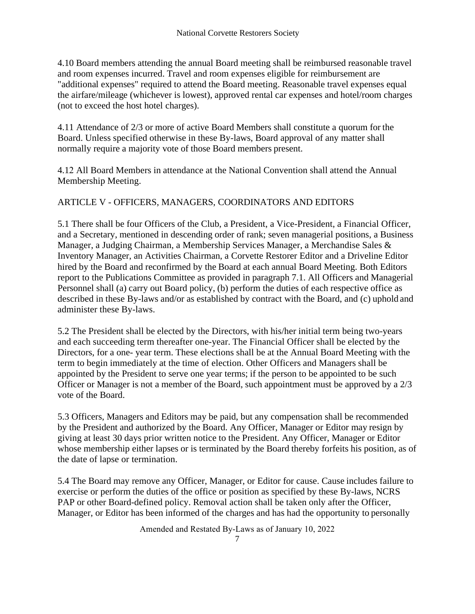4.10 Board members attending the annual Board meeting shall be reimbursed reasonable travel and room expenses incurred. Travel and room expenses eligible for reimbursement are "additional expenses" required to attend the Board meeting. Reasonable travel expenses equal the airfare/mileage (whichever is lowest), approved rental car expenses and hotel/room charges (not to exceed the host hotel charges).

4.11 Attendance of 2/3 or more of active Board Members shall constitute a quorum for the Board. Unless specified otherwise in these By-laws, Board approval of any matter shall normally require a majority vote of those Board members present.

4.12 All Board Members in attendance at the National Convention shall attend the Annual Membership Meeting.

#### ARTICLE V - OFFICERS, MANAGERS, COORDINATORS AND EDITORS

<span id="page-6-0"></span>5.1 There shall be four Officers of the Club, a President, a Vice-President, a Financial Officer, and a Secretary, mentioned in descending order of rank; seven managerial positions, a Business Manager, a Judging Chairman, a Membership Services Manager, a Merchandise Sales & Inventory Manager, an Activities Chairman, a Corvette Restorer Editor and a Driveline Editor hired by the Board and reconfirmed by the Board at each annual Board Meeting. Both Editors report to the Publications Committee as provided in paragraph 7.1. All Officers and Managerial Personnel shall (a) carry out Board policy, (b) perform the duties of each respective office as described in these By-laws and/or as established by contract with the Board, and (c) uphold and administer these By-laws.

5.2 The President shall be elected by the Directors, with his/her initial term being two-years and each succeeding term thereafter one-year. The Financial Officer shall be elected by the Directors, for a one- year term. These elections shall be at the Annual Board Meeting with the term to begin immediately at the time of election. Other Officers and Managers shall be appointed by the President to serve one year terms; if the person to be appointed to be such Officer or Manager is not a member of the Board, such appointment must be approved by a 2/3 vote of the Board.

5.3 Officers, Managers and Editors may be paid, but any compensation shall be recommended by the President and authorized by the Board. Any Officer, Manager or Editor may resign by giving at least 30 days prior written notice to the President. Any Officer, Manager or Editor whose membership either lapses or is terminated by the Board thereby forfeits his position, as of the date of lapse or termination.

5.4 The Board may remove any Officer, Manager, or Editor for cause. Cause includes failure to exercise or perform the duties of the office or position as specified by these By-laws, NCRS PAP or other Board-defined policy. Removal action shall be taken only after the Officer, Manager, or Editor has been informed of the charges and has had the opportunity to personally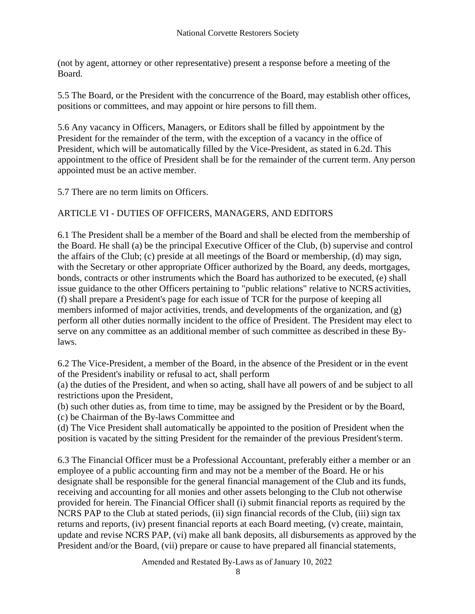(not by agent, attorney or other representative) present a response before a meeting of the Board.

5.5 The Board, or the President with the concurrence of the Board, may establish other offices, positions or committees, and may appoint or hire persons to fill them.

5.6 Any vacancy in Officers, Managers, or Editors shall be filled by appointment by the President for the remainder of the term, with the exception of a vacancy in the office of President, which will be automatically filled by the Vice-President, as stated in 6.2d. This appointment to the office of President shall be for the remainder of the current term. Any person appointed must be an active member.

5.7 There are no term limits on Officers.

### <span id="page-7-0"></span>ARTICLE VI - DUTIES OF OFFICERS, MANAGERS, AND EDITORS

6.1 The President shall be a member of the Board and shall be elected from the membership of the Board. He shall (a) be the principal Executive Officer of the Club, (b) supervise and control the affairs of the Club; (c) preside at all meetings of the Board or membership, (d) may sign, with the Secretary or other appropriate Officer authorized by the Board, any deeds, mortgages, bonds, contracts or other instruments which the Board has authorized to be executed, (e) shall issue guidance to the other Officers pertaining to "public relations" relative to NCRS activities, (f) shall prepare a President's page for each issue of TCR for the purpose of keeping all members informed of major activities, trends, and developments of the organization, and (g) perform all other duties normally incident to the office of President. The President may elect to serve on any committee as an additional member of such committee as described in these Bylaws.

6.2 The Vice-President, a member of the Board, in the absence of the President or in the event of the President's inability or refusal to act, shall perform

(a) the duties of the President, and when so acting, shall have all powers of and be subject to all restrictions upon the President,

(b) such other duties as, from time to time, may be assigned by the President or by the Board,

(c) be Chairman of the By-laws Committee and

(d) The Vice President shall automatically be appointed to the position of President when the position is vacated by the sitting President for the remainder of the previous President's term.

6.3 The Financial Officer must be a Professional Accountant, preferably either a member or an employee of a public accounting firm and may not be a member of the Board. He or his designate shall be responsible for the general financial management of the Club and its funds, receiving and accounting for all monies and other assets belonging to the Club not otherwise provided for herein. The Financial Officer shall (i) submit financial reports as required by the NCRS PAP to the Club at stated periods, (ii) sign financial records of the Club, (iii) sign tax returns and reports, (iv) present financial reports at each Board meeting, (v) create, maintain, update and revise NCRS PAP, (vi) make all bank deposits, all disbursements as approved by the President and/or the Board, (vii) prepare or cause to have prepared all financial statements,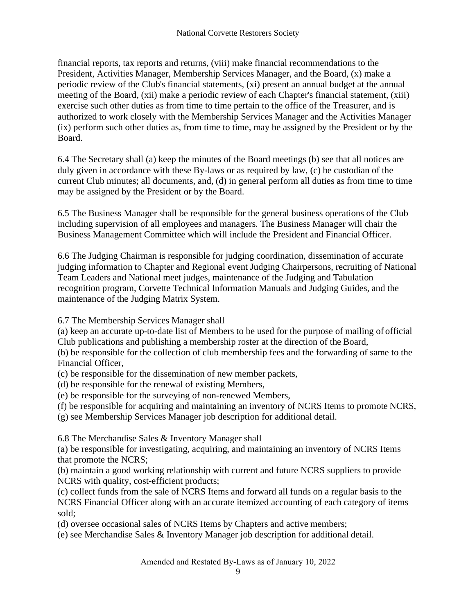financial reports, tax reports and returns, (viii) make financial recommendations to the President, Activities Manager, Membership Services Manager, and the Board, (x) make a periodic review of the Club's financial statements, (xi) present an annual budget at the annual meeting of the Board, (xii) make a periodic review of each Chapter's financial statement, (xiii) exercise such other duties as from time to time pertain to the office of the Treasurer, and is authorized to work closely with the Membership Services Manager and the Activities Manager (ix) perform such other duties as, from time to time, may be assigned by the President or by the Board.

6.4 The Secretary shall (a) keep the minutes of the Board meetings (b) see that all notices are duly given in accordance with these By-laws or as required by law, (c) be custodian of the current Club minutes; all documents, and, (d) in general perform all duties as from time to time may be assigned by the President or by the Board.

6.5 The Business Manager shall be responsible for the general business operations of the Club including supervision of all employees and managers. The Business Manager will chair the Business Management Committee which will include the President and Financial Officer.

6.6 The Judging Chairman is responsible for judging coordination, dissemination of accurate judging information to Chapter and Regional event Judging Chairpersons, recruiting of National Team Leaders and National meet judges, maintenance of the Judging and Tabulation recognition program, Corvette Technical Information Manuals and Judging Guides, and the maintenance of the Judging Matrix System.

# 6.7 The Membership Services Manager shall

(a) keep an accurate up-to-date list of Members to be used for the purpose of mailing of official Club publications and publishing a membership roster at the direction of the Board,

(b) be responsible for the collection of club membership fees and the forwarding of same to the Financial Officer,

- (c) be responsible for the dissemination of new member packets,
- (d) be responsible for the renewal of existing Members,
- (e) be responsible for the surveying of non-renewed Members,
- (f) be responsible for acquiring and maintaining an inventory of NCRS Items to promote NCRS,
- (g) see Membership Services Manager job description for additional detail.

6.8 The Merchandise Sales & Inventory Manager shall

(a) be responsible for investigating, acquiring, and maintaining an inventory of NCRS Items that promote the NCRS;

(b) maintain a good working relationship with current and future NCRS suppliers to provide NCRS with quality, cost-efficient products;

(c) collect funds from the sale of NCRS Items and forward all funds on a regular basis to the NCRS Financial Officer along with an accurate itemized accounting of each category of items sold;

(d) oversee occasional sales of NCRS Items by Chapters and active members;

(e) see Merchandise Sales & Inventory Manager job description for additional detail.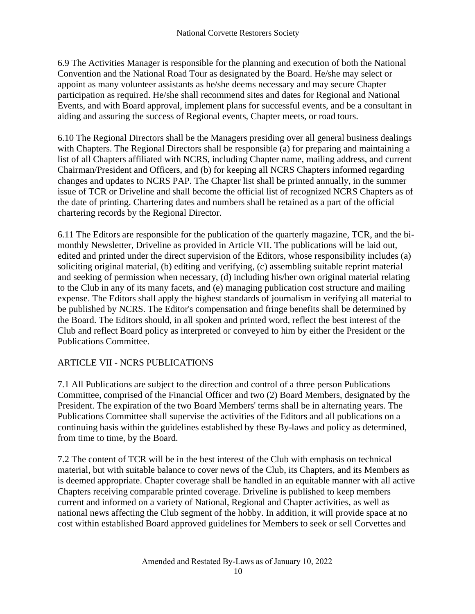6.9 The Activities Manager is responsible for the planning and execution of both the National Convention and the National Road Tour as designated by the Board. He/she may select or appoint as many volunteer assistants as he/she deems necessary and may secure Chapter participation as required. He/she shall recommend sites and dates for Regional and National Events, and with Board approval, implement plans for successful events, and be a consultant in aiding and assuring the success of Regional events, Chapter meets, or road tours.

6.10 The Regional Directors shall be the Managers presiding over all general business dealings with Chapters. The Regional Directors shall be responsible (a) for preparing and maintaining a list of all Chapters affiliated with NCRS, including Chapter name, mailing address, and current Chairman/President and Officers, and (b) for keeping all NCRS Chapters informed regarding changes and updates to NCRS PAP. The Chapter list shall be printed annually, in the summer issue of TCR or Driveline and shall become the official list of recognized NCRS Chapters as of the date of printing. Chartering dates and numbers shall be retained as a part of the official chartering records by the Regional Director.

6.11 The Editors are responsible for the publication of the quarterly magazine, TCR, and the bimonthly Newsletter, Driveline as provided in Article VII. The publications will be laid out, edited and printed under the direct supervision of the Editors, whose responsibility includes (a) soliciting original material, (b) editing and verifying, (c) assembling suitable reprint material and seeking of permission when necessary, (d) including his/her own original material relating to the Club in any of its many facets, and (e) managing publication cost structure and mailing expense. The Editors shall apply the highest standards of journalism in verifying all material to be published by NCRS. The Editor's compensation and fringe benefits shall be determined by the Board. The Editors should, in all spoken and printed word, reflect the best interest of the Club and reflect Board policy as interpreted or conveyed to him by either the President or the Publications Committee.

#### <span id="page-9-0"></span>ARTICLE VII - NCRS PUBLICATIONS

7.1 All Publications are subject to the direction and control of a three person Publications Committee, comprised of the Financial Officer and two (2) Board Members, designated by the President. The expiration of the two Board Members' terms shall be in alternating years. The Publications Committee shall supervise the activities of the Editors and all publications on a continuing basis within the guidelines established by these By-laws and policy as determined, from time to time, by the Board.

7.2 The content of TCR will be in the best interest of the Club with emphasis on technical material, but with suitable balance to cover news of the Club, its Chapters, and its Members as is deemed appropriate. Chapter coverage shall be handled in an equitable manner with all active Chapters receiving comparable printed coverage. Driveline is published to keep members current and informed on a variety of National, Regional and Chapter activities, as well as national news affecting the Club segment of the hobby. In addition, it will provide space at no cost within established Board approved guidelines for Members to seek or sell Corvettes and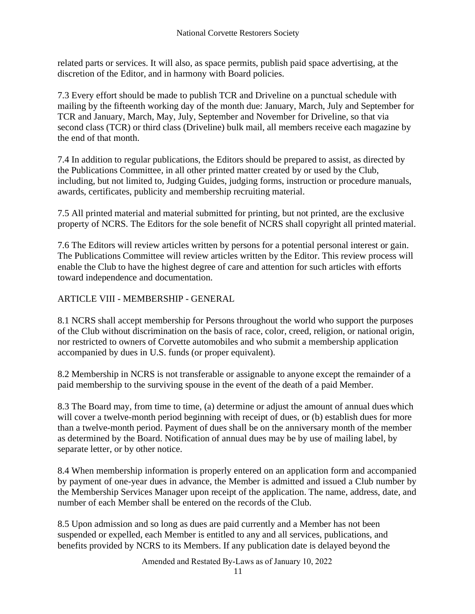related parts or services. It will also, as space permits, publish paid space advertising, at the discretion of the Editor, and in harmony with Board policies.

7.3 Every effort should be made to publish TCR and Driveline on a punctual schedule with mailing by the fifteenth working day of the month due: January, March, July and September for TCR and January, March, May, July, September and November for Driveline, so that via second class (TCR) or third class (Driveline) bulk mail, all members receive each magazine by the end of that month.

7.4 In addition to regular publications, the Editors should be prepared to assist, as directed by the Publications Committee, in all other printed matter created by or used by the Club, including, but not limited to, Judging Guides, judging forms, instruction or procedure manuals, awards, certificates, publicity and membership recruiting material.

7.5 All printed material and material submitted for printing, but not printed, are the exclusive property of NCRS. The Editors for the sole benefit of NCRS shall copyright all printed material.

7.6 The Editors will review articles written by persons for a potential personal interest or gain. The Publications Committee will review articles written by the Editor. This review process will enable the Club to have the highest degree of care and attention for such articles with efforts toward independence and documentation.

<span id="page-10-0"></span>ARTICLE VIII - MEMBERSHIP - GENERAL

8.1 NCRS shall accept membership for Persons throughout the world who support the purposes of the Club without discrimination on the basis of race, color, creed, religion, or national origin, nor restricted to owners of Corvette automobiles and who submit a membership application accompanied by dues in U.S. funds (or proper equivalent).

8.2 Membership in NCRS is not transferable or assignable to anyone except the remainder of a paid membership to the surviving spouse in the event of the death of a paid Member.

8.3 The Board may, from time to time, (a) determine or adjust the amount of annual dues which will cover a twelve-month period beginning with receipt of dues, or (b) establish dues for more than a twelve-month period. Payment of dues shall be on the anniversary month of the member as determined by the Board. Notification of annual dues may be by use of mailing label, by separate letter, or by other notice.

8.4 When membership information is properly entered on an application form and accompanied by payment of one-year dues in advance, the Member is admitted and issued a Club number by the Membership Services Manager upon receipt of the application. The name, address, date, and number of each Member shall be entered on the records of the Club.

8.5 Upon admission and so long as dues are paid currently and a Member has not been suspended or expelled, each Member is entitled to any and all services, publications, and benefits provided by NCRS to its Members. If any publication date is delayed beyond the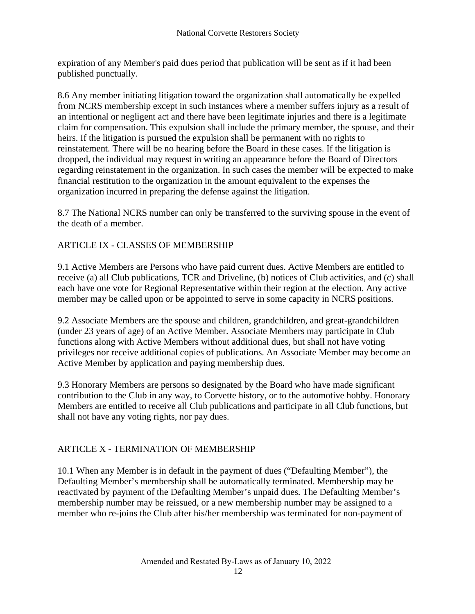expiration of any Member's paid dues period that publication will be sent as if it had been published punctually.

8.6 Any member initiating litigation toward the organization shall automatically be expelled from NCRS membership except in such instances where a member suffers injury as a result of an intentional or negligent act and there have been legitimate injuries and there is a legitimate claim for compensation. This expulsion shall include the primary member, the spouse, and their heirs. If the litigation is pursued the expulsion shall be permanent with no rights to reinstatement. There will be no hearing before the Board in these cases. If the litigation is dropped, the individual may request in writing an appearance before the Board of Directors regarding reinstatement in the organization. In such cases the member will be expected to make financial restitution to the organization in the amount equivalent to the expenses the organization incurred in preparing the defense against the litigation.

8.7 The National NCRS number can only be transferred to the surviving spouse in the event of the death of a member.

# <span id="page-11-0"></span>ARTICLE IX - CLASSES OF MEMBERSHIP

9.1 Active Members are Persons who have paid current dues. Active Members are entitled to receive (a) all Club publications, TCR and Driveline, (b) notices of Club activities, and (c) shall each have one vote for Regional Representative within their region at the election. Any active member may be called upon or be appointed to serve in some capacity in NCRS positions.

9.2 Associate Members are the spouse and children, grandchildren, and great-grandchildren (under 23 years of age) of an Active Member. Associate Members may participate in Club functions along with Active Members without additional dues, but shall not have voting privileges nor receive additional copies of publications. An Associate Member may become an Active Member by application and paying membership dues.

9.3 Honorary Members are persons so designated by the Board who have made significant contribution to the Club in any way, to Corvette history, or to the automotive hobby. Honorary Members are entitled to receive all Club publications and participate in all Club functions, but shall not have any voting rights, nor pay dues.

# <span id="page-11-1"></span>ARTICLE X - TERMINATION OF MEMBERSHIP

10.1 When any Member is in default in the payment of dues ("Defaulting Member"), the Defaulting Member's membership shall be automatically terminated. Membership may be reactivated by payment of the Defaulting Member's unpaid dues. The Defaulting Member's membership number may be reissued, or a new membership number may be assigned to a member who re-joins the Club after his/her membership was terminated for non-payment of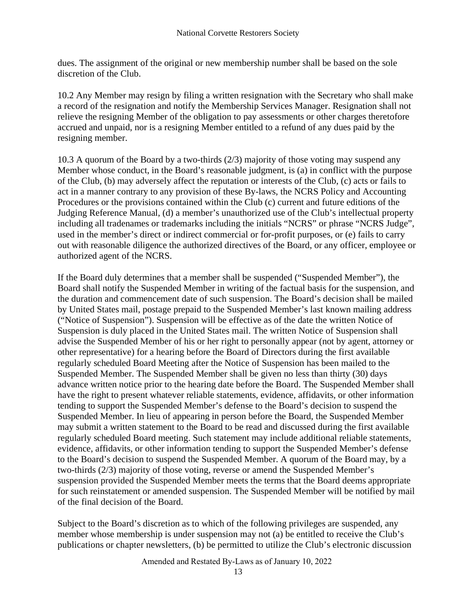dues. The assignment of the original or new membership number shall be based on the sole discretion of the Club.

10.2 Any Member may resign by filing a written resignation with the Secretary who shall make a record of the resignation and notify the Membership Services Manager. Resignation shall not relieve the resigning Member of the obligation to pay assessments or other charges theretofore accrued and unpaid, nor is a resigning Member entitled to a refund of any dues paid by the resigning member.

10.3 A quorum of the Board by a two-thirds (2/3) majority of those voting may suspend any Member whose conduct, in the Board's reasonable judgment, is (a) in conflict with the purpose of the Club, (b) may adversely affect the reputation or interests of the Club, (c) acts or fails to act in a manner contrary to any provision of these By-laws, the NCRS Policy and Accounting Procedures or the provisions contained within the Club (c) current and future editions of the Judging Reference Manual, (d) a member's unauthorized use of the Club's intellectual property including all tradenames or trademarks including the initials "NCRS" or phrase "NCRS Judge", used in the member's direct or indirect commercial or for-profit purposes, or (e) fails to carry out with reasonable diligence the authorized directives of the Board, or any officer, employee or authorized agent of the NCRS.

If the Board duly determines that a member shall be suspended ("Suspended Member"), the Board shall notify the Suspended Member in writing of the factual basis for the suspension, and the duration and commencement date of such suspension. The Board's decision shall be mailed by United States mail, postage prepaid to the Suspended Member's last known mailing address ("Notice of Suspension"). Suspension will be effective as of the date the written Notice of Suspension is duly placed in the United States mail. The written Notice of Suspension shall advise the Suspended Member of his or her right to personally appear (not by agent, attorney or other representative) for a hearing before the Board of Directors during the first available regularly scheduled Board Meeting after the Notice of Suspension has been mailed to the Suspended Member. The Suspended Member shall be given no less than thirty (30) days advance written notice prior to the hearing date before the Board. The Suspended Member shall have the right to present whatever reliable statements, evidence, affidavits, or other information tending to support the Suspended Member's defense to the Board's decision to suspend the Suspended Member. In lieu of appearing in person before the Board, the Suspended Member may submit a written statement to the Board to be read and discussed during the first available regularly scheduled Board meeting. Such statement may include additional reliable statements, evidence, affidavits, or other information tending to support the Suspended Member's defense to the Board's decision to suspend the Suspended Member. A quorum of the Board may, by a two-thirds (2/3) majority of those voting, reverse or amend the Suspended Member's suspension provided the Suspended Member meets the terms that the Board deems appropriate for such reinstatement or amended suspension. The Suspended Member will be notified by mail of the final decision of the Board.

Subject to the Board's discretion as to which of the following privileges are suspended, any member whose membership is under suspension may not (a) be entitled to receive the Club's publications or chapter newsletters, (b) be permitted to utilize the Club's electronic discussion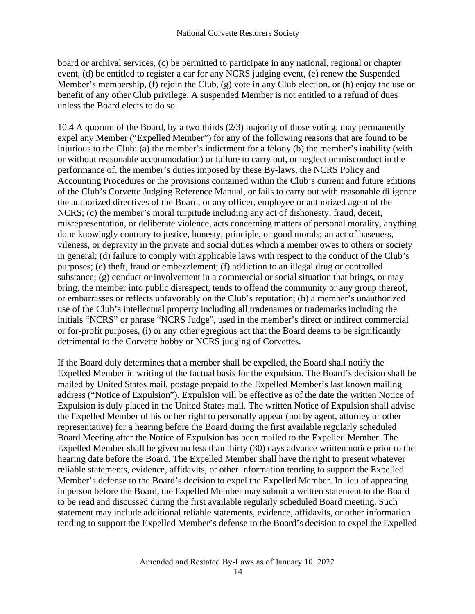board or archival services, (c) be permitted to participate in any national, regional or chapter event, (d) be entitled to register a car for any NCRS judging event, (e) renew the Suspended Member's membership, (f) rejoin the Club, (g) vote in any Club election, or (h) enjoy the use or benefit of any other Club privilege. A suspended Member is not entitled to a refund of dues unless the Board elects to do so.

10.4 A quorum of the Board, by a two thirds (2/3) majority of those voting, may permanently expel any Member ("Expelled Member") for any of the following reasons that are found to be injurious to the Club: (a) the member's indictment for a felony (b) the member's inability (with or without reasonable accommodation) or failure to carry out, or neglect or misconduct in the performance of, the member's duties imposed by these By-laws, the NCRS Policy and Accounting Procedures or the provisions contained within the Club's current and future editions of the Club's Corvette Judging Reference Manual, or fails to carry out with reasonable diligence the authorized directives of the Board, or any officer, employee or authorized agent of the NCRS; (c) the member's moral turpitude including any act of dishonesty, fraud, deceit, misrepresentation, or deliberate violence, acts concerning matters of personal morality, anything done knowingly contrary to justice, honesty, principle, or good morals; an act of baseness, vileness, or depravity in the private and social duties which a member owes to others or society in general; (d) failure to comply with applicable laws with respect to the conduct of the Club's purposes; (e) theft, fraud or embezzlement; (f) addiction to an illegal drug or controlled substance; (g) conduct or involvement in a commercial or social situation that brings, or may bring, the member into public disrespect, tends to offend the community or any group thereof, or embarrasses or reflects unfavorably on the Club's reputation; (h) a member's unauthorized use of the Club's intellectual property including all tradenames or trademarks including the initials "NCRS" or phrase "NCRS Judge", used in the member's direct or indirect commercial or for-profit purposes, (i) or any other egregious act that the Board deems to be significantly detrimental to the Corvette hobby or NCRS judging of Corvettes.

If the Board duly determines that a member shall be expelled, the Board shall notify the Expelled Member in writing of the factual basis for the expulsion. The Board's decision shall be mailed by United States mail, postage prepaid to the Expelled Member's last known mailing address ("Notice of Expulsion"). Expulsion will be effective as of the date the written Notice of Expulsion is duly placed in the United States mail. The written Notice of Expulsion shall advise the Expelled Member of his or her right to personally appear (not by agent, attorney or other representative) for a hearing before the Board during the first available regularly scheduled Board Meeting after the Notice of Expulsion has been mailed to the Expelled Member. The Expelled Member shall be given no less than thirty (30) days advance written notice prior to the hearing date before the Board. The Expelled Member shall have the right to present whatever reliable statements, evidence, affidavits, or other information tending to support the Expelled Member's defense to the Board's decision to expel the Expelled Member. In lieu of appearing in person before the Board, the Expelled Member may submit a written statement to the Board to be read and discussed during the first available regularly scheduled Board meeting. Such statement may include additional reliable statements, evidence, affidavits, or other information tending to support the Expelled Member's defense to the Board's decision to expel the Expelled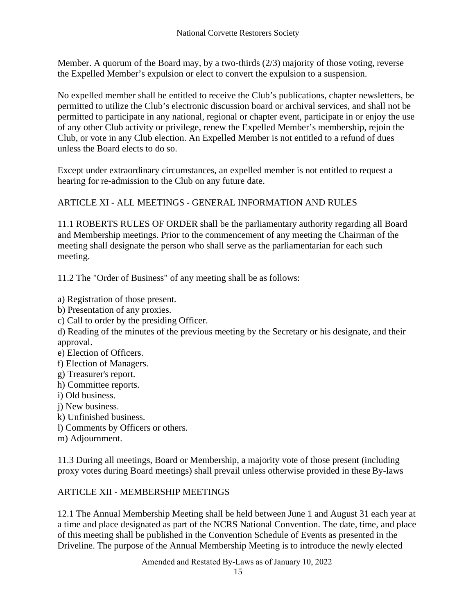Member. A quorum of the Board may, by a two-thirds (2/3) majority of those voting, reverse the Expelled Member's expulsion or elect to convert the expulsion to a suspension.

No expelled member shall be entitled to receive the Club's publications, chapter newsletters, be permitted to utilize the Club's electronic discussion board or archival services, and shall not be permitted to participate in any national, regional or chapter event, participate in or enjoy the use of any other Club activity or privilege, renew the Expelled Member's membership, rejoin the Club, or vote in any Club election. An Expelled Member is not entitled to a refund of dues unless the Board elects to do so.

Except under extraordinary circumstances, an expelled member is not entitled to request a hearing for re-admission to the Club on any future date.

<span id="page-14-0"></span>ARTICLE XI - ALL MEETINGS - GENERAL INFORMATION AND RULES

11.1 ROBERTS RULES OF ORDER shall be the parliamentary authority regarding all Board and Membership meetings. Prior to the commencement of any meeting the Chairman of the meeting shall designate the person who shall serve as the parliamentarian for each such meeting.

11.2 The "Order of Business" of any meeting shall be as follows:

- a) Registration of those present.
- b) Presentation of any proxies.
- c) Call to order by the presiding Officer.
- d) Reading of the minutes of the previous meeting by the Secretary or his designate, and their approval.
- e) Election of Officers.
- f) Election of Managers.
- g) Treasurer's report.
- h) Committee reports.
- i) Old business.
- j) New business.
- k) Unfinished business.
- l) Comments by Officers or others.
- m) Adjournment.

11.3 During all meetings, Board or Membership, a majority vote of those present (including proxy votes during Board meetings) shall prevail unless otherwise provided in these By-laws

#### <span id="page-14-1"></span>ARTICLE XII - MEMBERSHIP MEETINGS

12.1 The Annual Membership Meeting shall be held between June 1 and August 31 each year at a time and place designated as part of the NCRS National Convention. The date, time, and place of this meeting shall be published in the Convention Schedule of Events as presented in the Driveline. The purpose of the Annual Membership Meeting is to introduce the newly elected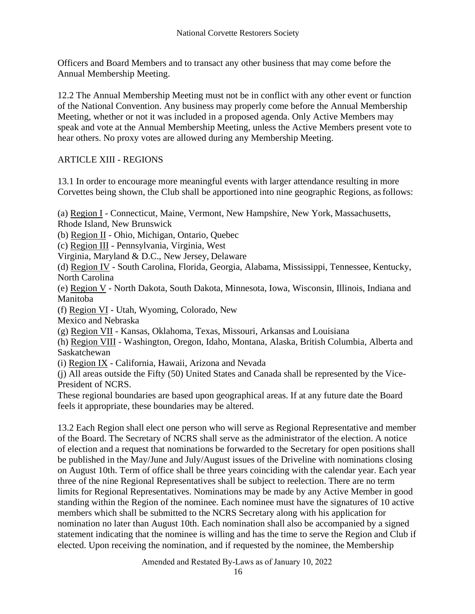Officers and Board Members and to transact any other business that may come before the Annual Membership Meeting.

12.2 The Annual Membership Meeting must not be in conflict with any other event or function of the National Convention. Any business may properly come before the Annual Membership Meeting, whether or not it was included in a proposed agenda. Only Active Members may speak and vote at the Annual Membership Meeting, unless the Active Members present vote to hear others. No proxy votes are allowed during any Membership Meeting.

#### <span id="page-15-0"></span>ARTICLE XIII - REGIONS

13.1 In order to encourage more meaningful events with larger attendance resulting in more Corvettes being shown, the Club shall be apportioned into nine geographic Regions, as follows:

(a) Region I - Connecticut, Maine, Vermont, New Hampshire, New York, Massachusetts, Rhode Island, New Brunswick

(b) Region II - Ohio, Michigan, Ontario, Quebec

(c) Region III - Pennsylvania, Virginia, West

Virginia, Maryland & D.C., New Jersey, Delaware

(d) Region IV - South Carolina, Florida, Georgia, Alabama, Mississippi, Tennessee, Kentucky, North Carolina

(e) Region V - North Dakota, South Dakota, Minnesota, Iowa, Wisconsin, Illinois, Indiana and Manitoba

(f) Region VI - Utah, Wyoming, Colorado, New

Mexico and Nebraska

(g) Region VII - Kansas, Oklahoma, Texas, Missouri, Arkansas and Louisiana

(h) Region VIII - Washington, Oregon, Idaho, Montana, Alaska, British Columbia, Alberta and Saskatchewan

(i) Region IX - California, Hawaii, Arizona and Nevada

(j) All areas outside the Fifty (50) United States and Canada shall be represented by the Vice-President of NCRS.

These regional boundaries are based upon geographical areas. If at any future date the Board feels it appropriate, these boundaries may be altered.

13.2 Each Region shall elect one person who will serve as Regional Representative and member of the Board. The Secretary of NCRS shall serve as the administrator of the election. A notice of election and a request that nominations be forwarded to the Secretary for open positions shall be published in the May/June and July/August issues of the Driveline with nominations closing on August 10th. Term of office shall be three years coinciding with the calendar year. Each year three of the nine Regional Representatives shall be subject to reelection. There are no term limits for Regional Representatives. Nominations may be made by any Active Member in good standing within the Region of the nominee. Each nominee must have the signatures of 10 active members which shall be submitted to the NCRS Secretary along with his application for nomination no later than August 10th. Each nomination shall also be accompanied by a signed statement indicating that the nominee is willing and has the time to serve the Region and Club if elected. Upon receiving the nomination, and if requested by the nominee, the Membership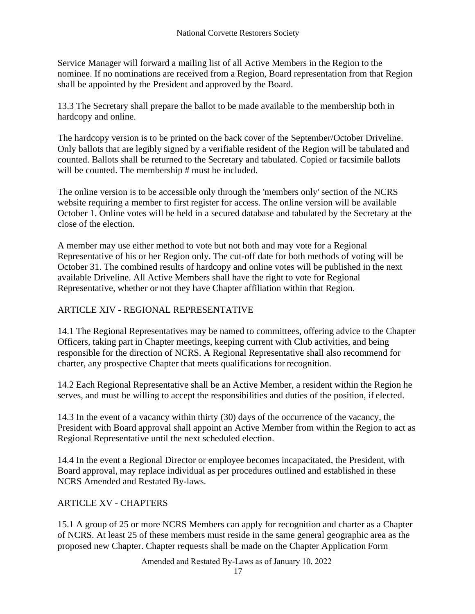Service Manager will forward a mailing list of all Active Members in the Region to the nominee. If no nominations are received from a Region, Board representation from that Region shall be appointed by the President and approved by the Board.

13.3 The Secretary shall prepare the ballot to be made available to the membership both in hardcopy and online.

The hardcopy version is to be printed on the back cover of the September/October Driveline. Only ballots that are legibly signed by a verifiable resident of the Region will be tabulated and counted. Ballots shall be returned to the Secretary and tabulated. Copied or facsimile ballots will be counted. The membership # must be included.

The online version is to be accessible only through the 'members only' section of the NCRS website requiring a member to first register for access. The online version will be available October 1. Online votes will be held in a secured database and tabulated by the Secretary at the close of the election.

A member may use either method to vote but not both and may vote for a Regional Representative of his or her Region only. The cut-off date for both methods of voting will be October 31. The combined results of hardcopy and online votes will be published in the next available Driveline. All Active Members shall have the right to vote for Regional Representative, whether or not they have Chapter affiliation within that Region.

# <span id="page-16-0"></span>ARTICLE XIV - REGIONAL REPRESENTATIVE

14.1 The Regional Representatives may be named to committees, offering advice to the Chapter Officers, taking part in Chapter meetings, keeping current with Club activities, and being responsible for the direction of NCRS. A Regional Representative shall also recommend for charter, any prospective Chapter that meets qualifications for recognition.

14.2 Each Regional Representative shall be an Active Member, a resident within the Region he serves, and must be willing to accept the responsibilities and duties of the position, if elected.

14.3 In the event of a vacancy within thirty (30) days of the occurrence of the vacancy, the President with Board approval shall appoint an Active Member from within the Region to act as Regional Representative until the next scheduled election.

14.4 In the event a Regional Director or employee becomes incapacitated, the President, with Board approval, may replace individual as per procedures outlined and established in these NCRS Amended and Restated By-laws.

#### <span id="page-16-1"></span>ARTICLE XV - CHAPTERS

15.1 A group of 25 or more NCRS Members can apply for recognition and charter as a Chapter of NCRS. At least 25 of these members must reside in the same general geographic area as the proposed new Chapter. Chapter requests shall be made on the Chapter Application Form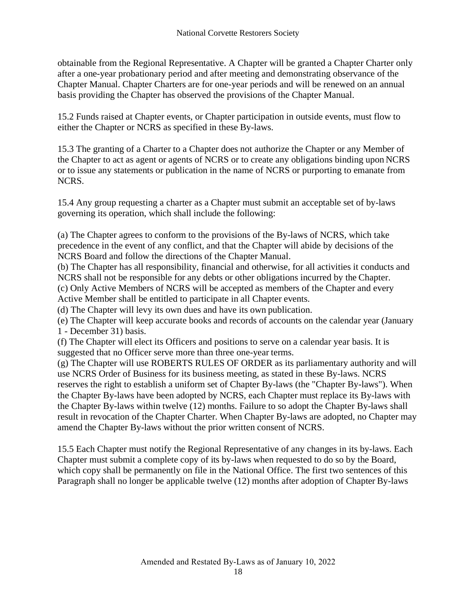obtainable from the Regional Representative. A Chapter will be granted a Chapter Charter only after a one-year probationary period and after meeting and demonstrating observance of the Chapter Manual. Chapter Charters are for one-year periods and will be renewed on an annual basis providing the Chapter has observed the provisions of the Chapter Manual.

15.2 Funds raised at Chapter events, or Chapter participation in outside events, must flow to either the Chapter or NCRS as specified in these By-laws.

15.3 The granting of a Charter to a Chapter does not authorize the Chapter or any Member of the Chapter to act as agent or agents of NCRS or to create any obligations binding upon NCRS or to issue any statements or publication in the name of NCRS or purporting to emanate from NCRS.

15.4 Any group requesting a charter as a Chapter must submit an acceptable set of by-laws governing its operation, which shall include the following:

(a) The Chapter agrees to conform to the provisions of the By-laws of NCRS, which take precedence in the event of any conflict, and that the Chapter will abide by decisions of the NCRS Board and follow the directions of the Chapter Manual.

(b) The Chapter has all responsibility, financial and otherwise, for all activities it conducts and NCRS shall not be responsible for any debts or other obligations incurred by the Chapter.

(c) Only Active Members of NCRS will be accepted as members of the Chapter and every Active Member shall be entitled to participate in all Chapter events.

(d) The Chapter will levy its own dues and have its own publication.

(e) The Chapter will keep accurate books and records of accounts on the calendar year (January 1 - December 31) basis.

(f) The Chapter will elect its Officers and positions to serve on a calendar year basis. It is suggested that no Officer serve more than three one-year terms.

(g) The Chapter will use ROBERTS RULES OF ORDER as its parliamentary authority and will use NCRS Order of Business for its business meeting, as stated in these By-laws. NCRS reserves the right to establish a uniform set of Chapter By-laws (the "Chapter By-laws"). When the Chapter By-laws have been adopted by NCRS, each Chapter must replace its By-laws with the Chapter By-laws within twelve (12) months. Failure to so adopt the Chapter By-laws shall result in revocation of the Chapter Charter. When Chapter By-laws are adopted, no Chapter may amend the Chapter By-laws without the prior written consent of NCRS.

15.5 Each Chapter must notify the Regional Representative of any changes in its by-laws. Each Chapter must submit a complete copy of its by-laws when requested to do so by the Board, which copy shall be permanently on file in the National Office. The first two sentences of this Paragraph shall no longer be applicable twelve (12) months after adoption of Chapter By-laws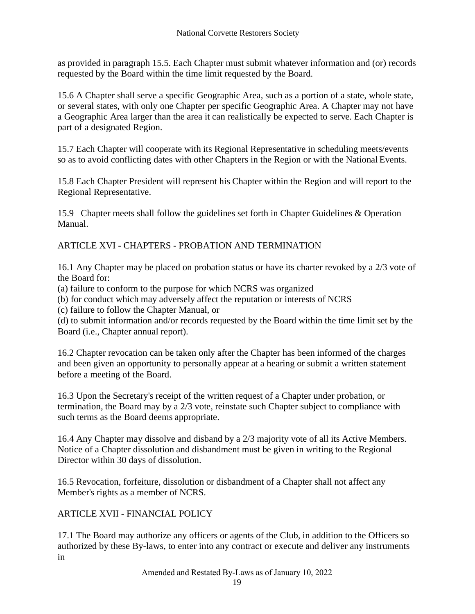as provided in paragraph 15.5. Each Chapter must submit whatever information and (or) records requested by the Board within the time limit requested by the Board.

15.6 A Chapter shall serve a specific Geographic Area, such as a portion of a state, whole state, or several states, with only one Chapter per specific Geographic Area. A Chapter may not have a Geographic Area larger than the area it can realistically be expected to serve. Each Chapter is part of a designated Region.

15.7 Each Chapter will cooperate with its Regional Representative in scheduling meets/events so as to avoid conflicting dates with other Chapters in the Region or with the National Events.

15.8 Each Chapter President will represent his Chapter within the Region and will report to the Regional Representative.

15.9 Chapter meets shall follow the guidelines set forth in Chapter Guidelines & Operation Manual.

<span id="page-18-0"></span>ARTICLE XVI - CHAPTERS - PROBATION AND TERMINATION

16.1 Any Chapter may be placed on probation status or have its charter revoked by a 2/3 vote of the Board for:

(a) failure to conform to the purpose for which NCRS was organized

(b) for conduct which may adversely affect the reputation or interests of NCRS

(c) failure to follow the Chapter Manual, or

(d) to submit information and/or records requested by the Board within the time limit set by the Board (i.e., Chapter annual report).

16.2 Chapter revocation can be taken only after the Chapter has been informed of the charges and been given an opportunity to personally appear at a hearing or submit a written statement before a meeting of the Board.

16.3 Upon the Secretary's receipt of the written request of a Chapter under probation, or termination, the Board may by a 2/3 vote, reinstate such Chapter subject to compliance with such terms as the Board deems appropriate.

16.4 Any Chapter may dissolve and disband by a 2/3 majority vote of all its Active Members. Notice of a Chapter dissolution and disbandment must be given in writing to the Regional Director within 30 days of dissolution.

16.5 Revocation, forfeiture, dissolution or disbandment of a Chapter shall not affect any Member's rights as a member of NCRS.

#### <span id="page-18-1"></span>ARTICLE XVII - FINANCIAL POLICY

17.1 The Board may authorize any officers or agents of the Club, in addition to the Officers so authorized by these By-laws, to enter into any contract or execute and deliver any instruments in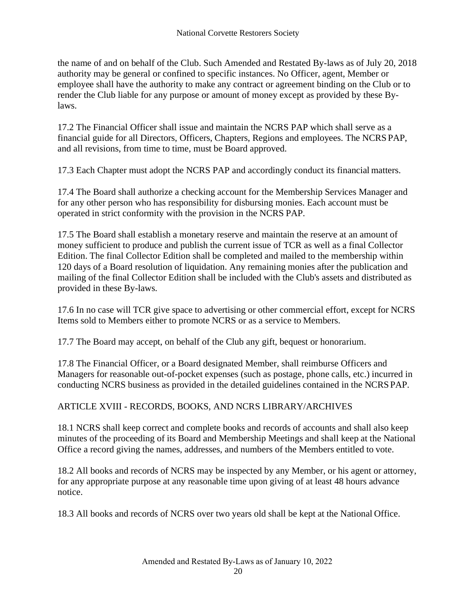the name of and on behalf of the Club. Such Amended and Restated By-laws as of July 20, 2018 authority may be general or confined to specific instances. No Officer, agent, Member or employee shall have the authority to make any contract or agreement binding on the Club or to render the Club liable for any purpose or amount of money except as provided by these Bylaws.

17.2 The Financial Officer shall issue and maintain the NCRS PAP which shall serve as a financial guide for all Directors, Officers, Chapters, Regions and employees. The NCRS PAP, and all revisions, from time to time, must be Board approved.

17.3 Each Chapter must adopt the NCRS PAP and accordingly conduct its financial matters.

17.4 The Board shall authorize a checking account for the Membership Services Manager and for any other person who has responsibility for disbursing monies. Each account must be operated in strict conformity with the provision in the NCRS PAP.

17.5 The Board shall establish a monetary reserve and maintain the reserve at an amount of money sufficient to produce and publish the current issue of TCR as well as a final Collector Edition. The final Collector Edition shall be completed and mailed to the membership within 120 days of a Board resolution of liquidation. Any remaining monies after the publication and mailing of the final Collector Edition shall be included with the Club's assets and distributed as provided in these By-laws.

17.6 In no case will TCR give space to advertising or other commercial effort, except for NCRS Items sold to Members either to promote NCRS or as a service to Members.

17.7 The Board may accept, on behalf of the Club any gift, bequest or honorarium.

17.8 The Financial Officer, or a Board designated Member, shall reimburse Officers and Managers for reasonable out-of-pocket expenses (such as postage, phone calls, etc.) incurred in conducting NCRS business as provided in the detailed guidelines contained in the NCRS PAP.

<span id="page-19-0"></span>ARTICLE XVIII - RECORDS, BOOKS, AND NCRS LIBRARY/ARCHIVES

18.1 NCRS shall keep correct and complete books and records of accounts and shall also keep minutes of the proceeding of its Board and Membership Meetings and shall keep at the National Office a record giving the names, addresses, and numbers of the Members entitled to vote.

18.2 All books and records of NCRS may be inspected by any Member, or his agent or attorney, for any appropriate purpose at any reasonable time upon giving of at least 48 hours advance notice.

18.3 All books and records of NCRS over two years old shall be kept at the National Office.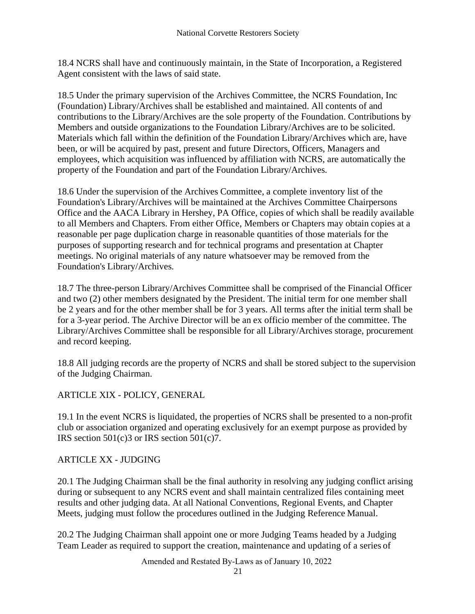18.4 NCRS shall have and continuously maintain, in the State of Incorporation, a Registered Agent consistent with the laws of said state.

18.5 Under the primary supervision of the Archives Committee, the NCRS Foundation, Inc (Foundation) Library/Archives shall be established and maintained. All contents of and contributions to the Library/Archives are the sole property of the Foundation. Contributions by Members and outside organizations to the Foundation Library/Archives are to be solicited. Materials which fall within the definition of the Foundation Library/Archives which are, have been, or will be acquired by past, present and future Directors, Officers, Managers and employees, which acquisition was influenced by affiliation with NCRS, are automatically the property of the Foundation and part of the Foundation Library/Archives.

18.6 Under the supervision of the Archives Committee, a complete inventory list of the Foundation's Library/Archives will be maintained at the Archives Committee Chairpersons Office and the AACA Library in Hershey, PA Office, copies of which shall be readily available to all Members and Chapters. From either Office, Members or Chapters may obtain copies at a reasonable per page duplication charge in reasonable quantities of those materials for the purposes of supporting research and for technical programs and presentation at Chapter meetings. No original materials of any nature whatsoever may be removed from the Foundation's Library/Archives.

18.7 The three-person Library/Archives Committee shall be comprised of the Financial Officer and two (2) other members designated by the President. The initial term for one member shall be 2 years and for the other member shall be for 3 years. All terms after the initial term shall be for a 3-year period. The Archive Director will be an ex officio member of the committee. The Library/Archives Committee shall be responsible for all Library/Archives storage, procurement and record keeping.

18.8 All judging records are the property of NCRS and shall be stored subject to the supervision of the Judging Chairman.

<span id="page-20-0"></span>ARTICLE XIX - POLICY, GENERAL

19.1 In the event NCRS is liquidated, the properties of NCRS shall be presented to a non-profit club or association organized and operating exclusively for an exempt purpose as provided by IRS section  $501(c)3$  or IRS section  $501(c)7$ .

#### <span id="page-20-1"></span>ARTICLE XX - JUDGING

20.1 The Judging Chairman shall be the final authority in resolving any judging conflict arising during or subsequent to any NCRS event and shall maintain centralized files containing meet results and other judging data. At all National Conventions, Regional Events, and Chapter Meets, judging must follow the procedures outlined in the Judging Reference Manual.

20.2 The Judging Chairman shall appoint one or more Judging Teams headed by a Judging Team Leader as required to support the creation, maintenance and updating of a series of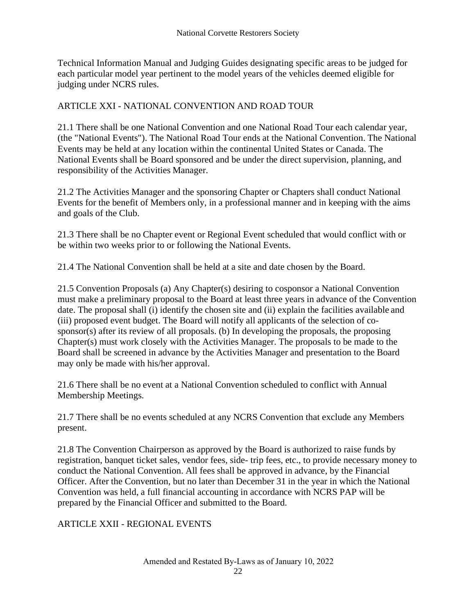Technical Information Manual and Judging Guides designating specific areas to be judged for each particular model year pertinent to the model years of the vehicles deemed eligible for judging under NCRS rules.

#### <span id="page-21-0"></span>ARTICLE XXI - NATIONAL CONVENTION AND ROAD TOUR

21.1 There shall be one National Convention and one National Road Tour each calendar year, (the "National Events"). The National Road Tour ends at the National Convention. The National Events may be held at any location within the continental United States or Canada. The National Events shall be Board sponsored and be under the direct supervision, planning, and responsibility of the Activities Manager.

21.2 The Activities Manager and the sponsoring Chapter or Chapters shall conduct National Events for the benefit of Members only, in a professional manner and in keeping with the aims and goals of the Club.

21.3 There shall be no Chapter event or Regional Event scheduled that would conflict with or be within two weeks prior to or following the National Events.

21.4 The National Convention shall be held at a site and date chosen by the Board.

21.5 Convention Proposals (a) Any Chapter(s) desiring to cosponsor a National Convention must make a preliminary proposal to the Board at least three years in advance of the Convention date. The proposal shall (i) identify the chosen site and (ii) explain the facilities available and (iii) proposed event budget. The Board will notify all applicants of the selection of cosponsor(s) after its review of all proposals. (b) In developing the proposals, the proposing Chapter(s) must work closely with the Activities Manager. The proposals to be made to the Board shall be screened in advance by the Activities Manager and presentation to the Board may only be made with his/her approval.

21.6 There shall be no event at a National Convention scheduled to conflict with Annual Membership Meetings.

21.7 There shall be no events scheduled at any NCRS Convention that exclude any Members present.

21.8 The Convention Chairperson as approved by the Board is authorized to raise funds by registration, banquet ticket sales, vendor fees, side- trip fees, etc., to provide necessary money to conduct the National Convention. All fees shall be approved in advance, by the Financial Officer. After the Convention, but no later than December 31 in the year in which the National Convention was held, a full financial accounting in accordance with NCRS PAP will be prepared by the Financial Officer and submitted to the Board.

#### <span id="page-21-1"></span>ARTICLE XXII - REGIONAL EVENTS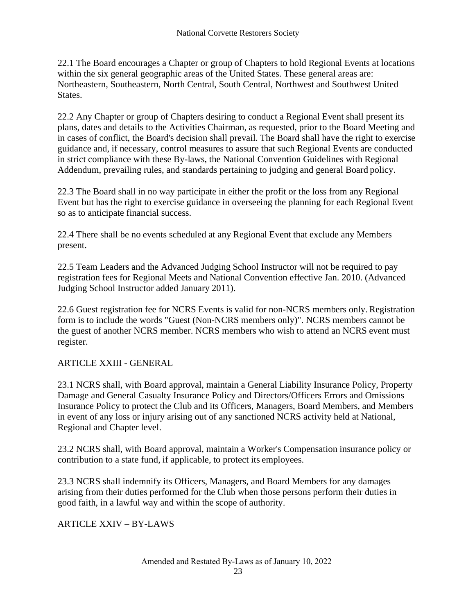22.1 The Board encourages a Chapter or group of Chapters to hold Regional Events at locations within the six general geographic areas of the United States. These general areas are: Northeastern, Southeastern, North Central, South Central, Northwest and Southwest United States.

22.2 Any Chapter or group of Chapters desiring to conduct a Regional Event shall present its plans, dates and details to the Activities Chairman, as requested, prior to the Board Meeting and in cases of conflict, the Board's decision shall prevail. The Board shall have the right to exercise guidance and, if necessary, control measures to assure that such Regional Events are conducted in strict compliance with these By-laws, the National Convention Guidelines with Regional Addendum, prevailing rules, and standards pertaining to judging and general Board policy.

22.3 The Board shall in no way participate in either the profit or the loss from any Regional Event but has the right to exercise guidance in overseeing the planning for each Regional Event so as to anticipate financial success.

22.4 There shall be no events scheduled at any Regional Event that exclude any Members present.

22.5 Team Leaders and the Advanced Judging School Instructor will not be required to pay registration fees for Regional Meets and National Convention effective Jan. 2010. (Advanced Judging School Instructor added January 2011).

22.6 Guest registration fee for NCRS Events is valid for non-NCRS members only. Registration form is to include the words "Guest (Non-NCRS members only)". NCRS members cannot be the guest of another NCRS member. NCRS members who wish to attend an NCRS event must register.

#### <span id="page-22-0"></span>ARTICLE XXIII - GENERAL

23.1 NCRS shall, with Board approval, maintain a General Liability Insurance Policy, Property Damage and General Casualty Insurance Policy and Directors/Officers Errors and Omissions Insurance Policy to protect the Club and its Officers, Managers, Board Members, and Members in event of any loss or injury arising out of any sanctioned NCRS activity held at National, Regional and Chapter level.

23.2 NCRS shall, with Board approval, maintain a Worker's Compensation insurance policy or contribution to a state fund, if applicable, to protect its employees.

23.3 NCRS shall indemnify its Officers, Managers, and Board Members for any damages arising from their duties performed for the Club when those persons perform their duties in good faith, in a lawful way and within the scope of authority.

<span id="page-22-1"></span>ARTICLE XXIV – BY-LAWS